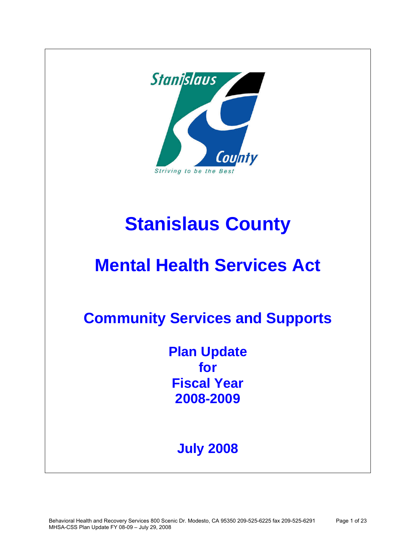

# **Stanislaus County**

# **Mental Health Services Act**

**Community Services and Supports** 

**Plan Update for Fiscal Year 2008-2009**

# **July 2008**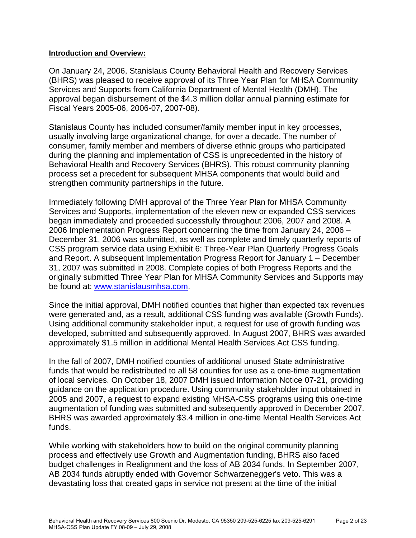### **Introduction and Overview:**

On January 24, 2006, Stanislaus County Behavioral Health and Recovery Services (BHRS) was pleased to receive approval of its Three Year Plan for MHSA Community Services and Supports from California Department of Mental Health (DMH). The approval began disbursement of the \$4.3 million dollar annual planning estimate for Fiscal Years 2005-06, 2006-07, 2007-08).

Stanislaus County has included consumer/family member input in key processes, usually involving large organizational change, for over a decade. The number of consumer, family member and members of diverse ethnic groups who participated during the planning and implementation of CSS is unprecedented in the history of Behavioral Health and Recovery Services (BHRS). This robust community planning process set a precedent for subsequent MHSA components that would build and strengthen community partnerships in the future.

Immediately following DMH approval of the Three Year Plan for MHSA Community Services and Supports, implementation of the eleven new or expanded CSS services began immediately and proceeded successfully throughout 2006, 2007 and 2008. A 2006 Implementation Progress Report concerning the time from January 24, 2006 – December 31, 2006 was submitted, as well as complete and timely quarterly reports of CSS program service data using Exhibit 6: Three-Year Plan Quarterly Progress Goals and Report. A subsequent Implementation Progress Report for January 1 – December 31, 2007 was submitted in 2008. Complete copies of both Progress Reports and the originally submitted Three Year Plan for MHSA Community Services and Supports may be found at: [www.stanislausmhsa.com.](http://www.stanislausmhsa.com/)

Since the initial approval, DMH notified counties that higher than expected tax revenues were generated and, as a result, additional CSS funding was available (Growth Funds). Using additional community stakeholder input, a request for use of growth funding was developed, submitted and subsequently approved. In August 2007, BHRS was awarded approximately \$1.5 million in additional Mental Health Services Act CSS funding.

In the fall of 2007, DMH notified counties of additional unused State administrative funds that would be redistributed to all 58 counties for use as a one-time augmentation of local services. On October 18, 2007 DMH issued Information Notice 07-21, providing guidance on the application procedure. Using community stakeholder input obtained in 2005 and 2007, a request to expand existing MHSA-CSS programs using this one-time augmentation of funding was submitted and subsequently approved in December 2007. BHRS was awarded approximately \$3.4 million in one-time Mental Health Services Act funds.

While working with stakeholders how to build on the original community planning process and effectively use Growth and Augmentation funding, BHRS also faced budget challenges in Realignment and the loss of AB 2034 funds. In September 2007, AB 2034 funds abruptly ended with Governor Schwarzenegger's veto. This was a devastating loss that created gaps in service not present at the time of the initial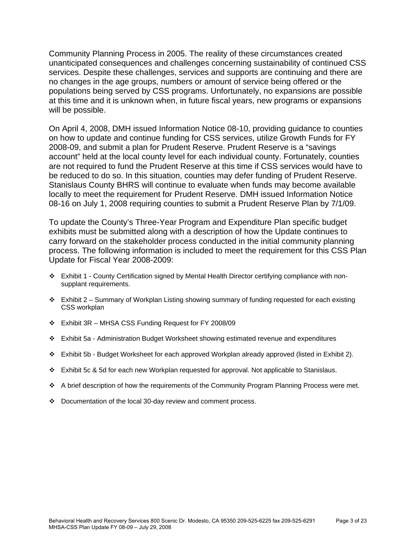Community Planning Process in 2005. The reality of these circumstances created unanticipated consequences and challenges concerning sustainability of continued CSS services. Despite these challenges, services and supports are continuing and there are no changes in the age groups, numbers or amount of service being offered or the populations being served by CSS programs. Unfortunately, no expansions are possible at this time and it is unknown when, in future fiscal years, new programs or expansions will be possible.

On April 4, 2008, DMH issued Information Notice 08-10, providing guidance to counties on how to update and continue funding for CSS services, utilize Growth Funds for FY 2008-09, and submit a plan for Prudent Reserve. Prudent Reserve is a "savings account" held at the local county level for each individual county. Fortunately, counties are not required to fund the Prudent Reserve at this time if CSS services would have to be reduced to do so. In this situation, counties may defer funding of Prudent Reserve. Stanislaus County BHRS will continue to evaluate when funds may become available locally to meet the requirement for Prudent Reserve. DMH issued Information Notice 08-16 on July 1, 2008 requiring counties to submit a Prudent Reserve Plan by 7/1/09.

To update the County's Three-Year Program and Expenditure Plan specific budget exhibits must be submitted along with a description of how the Update continues to carry forward on the stakeholder process conducted in the initial community planning process. The following information is included to meet the requirement for this CSS Plan Update for Fiscal Year 2008-2009:

- Exhibit 1 County Certification signed by Mental Health Director certifying compliance with nonsupplant requirements.
- $\div$  Exhibit 2 Summary of Workplan Listing showing summary of funding requested for each existing CSS workplan
- $\div$  Exhibit 3R MHSA CSS Funding Request for FY 2008/09
- Exhibit 5a Administration Budget Worksheet showing estimated revenue and expenditures
- Exhibit 5b Budget Worksheet for each approved Workplan already approved (listed in Exhibit 2).
- \* Exhibit 5c & 5d for each new Workplan requested for approval. Not applicable to Stanislaus.
- A brief description of how the requirements of the Community Program Planning Process were met.
- Documentation of the local 30-day review and comment process.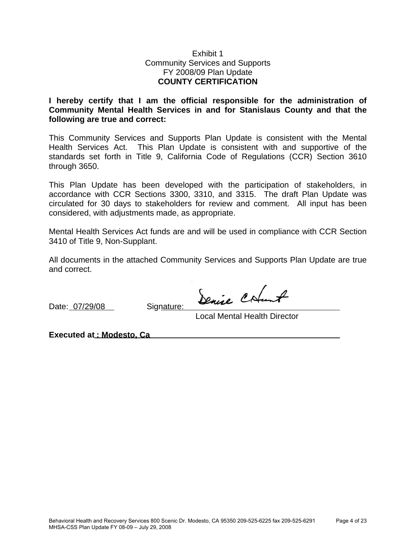# Exhibit 1 Community Services and Supports FY 2008/09 Plan Update **COUNTY CERTIFICATION**

**I hereby certify that I am the official responsible for the administration of Community Mental Health Services in and for Stanislaus County and that the following are true and correct:** 

This Community Services and Supports Plan Update is consistent with the Mental Health Services Act. This Plan Update is consistent with and supportive of the standards set forth in Title 9, California Code of Regulations (CCR) Section 3610 through 3650.

This Plan Update has been developed with the participation of stakeholders, in accordance with CCR Sections 3300, 3310, and 3315. The draft Plan Update was circulated for 30 days to stakeholders for review and comment. All input has been considered, with adjustments made, as appropriate.

Mental Health Services Act funds are and will be used in compliance with CCR Section 3410 of Title 9, Non-Supplant.

All documents in the attached Community Services and Supports Plan Update are true and correct.

Date: 07/29/08 Signature:

Denise Colunt

Local Mental Health Director

**Executed at : Modesto, Ca**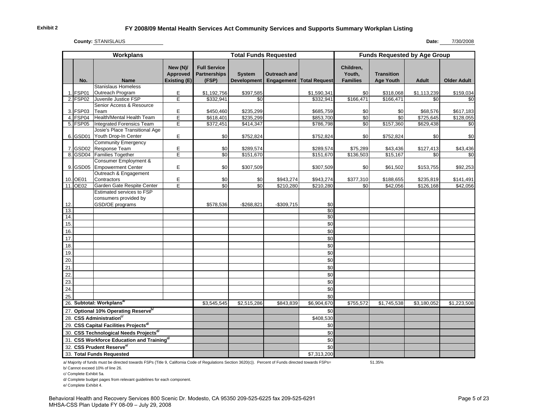**County:** STANISLAUS

#### **Date:** 7/30/2008

| <b>Full Service</b><br>New (N)/<br>Children,<br><b>Partnerships</b><br>Youth,<br>Approved<br><b>Transition</b><br><b>System</b><br>Outreach and<br>Existing (E)<br>(FSP)<br><b>Development</b><br><b>Families</b><br><b>Age Youth</b><br>Engagement<br><b>Total Request</b><br><b>Adult</b><br><b>Older Adult</b><br>No.<br><b>Name</b><br><b>Stanislaus Homeless</b><br>Outreach Program<br>1. FSP01<br>Е<br>\$1,192,756<br>\$397,585<br>\$1,590,341<br>\$1,113,239<br>\$159,034<br>\$0<br>\$318,068<br>Ē<br>\$332,941<br>Juvenile Justice FSP<br>\$332,941<br>\$166,471<br>\$166,471<br>2. FSP02<br>\$0<br>\$0<br>\$0<br>Senior Access & Resource<br>E<br>3. FSP03<br>Team<br>\$235,299<br>\$450,460<br>\$685,759<br>\$0<br>\$0<br>\$68,576<br>\$617,183<br>Health/Mental Health Team<br>\$0<br>4. FSP04<br>Е<br>\$853,700<br>\$0<br>\$725,645<br>\$128,055<br>\$618,401<br>\$235,299<br>5. FSP05<br><b>Integrated Forensics Team</b><br>\$157,360<br>\$629,438<br>Е<br>\$372,451<br>\$414,347<br>\$786,798<br>\$0<br>\$0<br>Josie's Place Transitional Age<br>E<br>Youth Drop-In Center<br>6. GSD01<br>\$0<br>\$752,824<br>\$752,824<br>\$0<br>\$752,824<br>\$0<br>\$0<br>Community Emergency<br>Response Team<br>Е<br>7. GSD02<br>\$0<br>\$289,574<br>\$75,289<br>\$127,413<br>\$43,436<br>\$289,574<br>\$43,436<br>Families Together<br>8. GSD04<br>E<br>$\overline{50}$<br>\$151,670<br>\$0<br>\$151,670<br>\$136,503<br>\$15,167<br>\$0<br>Consumer Employment &<br><b>Empowerment Center</b><br>E<br>9. GSD05<br>\$0<br>\$307,509<br>\$92,253<br>\$307,509<br>\$0<br>\$153,755<br>\$61,502<br>Outreach & Engagement<br>10. OE01<br>Contractors<br>Е<br>\$943,274<br>\$943,274<br>\$377,310<br>\$0<br>\$0<br>\$188,655<br>\$235,819<br>\$141,491<br>Garden Gate Respite Center<br>11. OE02<br>E<br>\$0<br>\$0<br>\$42,056<br>\$210,280<br>\$210,280<br>\$0<br>\$42,056<br>\$126,168<br>Estimated services to FSP<br>consumers provided by<br>12.<br>GSD/OE programs<br>\$578,536<br>$-$268,821$<br>$-$309,715$<br>\$0<br>13.<br>$\sqrt{6}$<br>14.<br>$\sqrt{6}$<br>15.<br>\$0<br>16.<br>\$0<br>17.<br>\$0<br>18.<br>\$0<br>\$0<br>19.<br>20.<br>\$0<br>21<br>\$0<br>22.<br>\$0<br>23.<br>\$0<br>24.<br>\$0<br>25.<br>\$0<br>26. Subtotal: Workplansa/<br>\$6,904,670<br>\$3,545,545<br>\$2,515,286<br>\$843,839<br>\$755,572<br>\$1,745,538<br>\$3,180,052<br>\$1,223,508<br>27. Optional 10% Operating Reserve <sup>b/</sup><br>\$0<br>28. CSS Administration <sup>c/</sup><br>\$408,530<br>29. CSS Capital Facilities Projects <sup>d/</sup><br>\$0<br>30. CSS Technological Needs Projects <sup>d/</sup><br>\$0<br>31. CSS Workforce Education and Trainingd/<br>\$0<br>32. CSS Prudent Reservee<br>\$0<br>33. Total Funds Requested | Workplans |  |  | <b>Total Funds Requested</b> |  | <b>Funds Requested by Age Group</b> |  |  |  |  |
|------------------------------------------------------------------------------------------------------------------------------------------------------------------------------------------------------------------------------------------------------------------------------------------------------------------------------------------------------------------------------------------------------------------------------------------------------------------------------------------------------------------------------------------------------------------------------------------------------------------------------------------------------------------------------------------------------------------------------------------------------------------------------------------------------------------------------------------------------------------------------------------------------------------------------------------------------------------------------------------------------------------------------------------------------------------------------------------------------------------------------------------------------------------------------------------------------------------------------------------------------------------------------------------------------------------------------------------------------------------------------------------------------------------------------------------------------------------------------------------------------------------------------------------------------------------------------------------------------------------------------------------------------------------------------------------------------------------------------------------------------------------------------------------------------------------------------------------------------------------------------------------------------------------------------------------------------------------------------------------------------------------------------------------------------------------------------------------------------------------------------------------------------------------------------------------------------------------------------------------------------------------------------------------------------------------------------------------------------------------------------------------------------------------------------------------------------------------------------------------------------------------------------------------------------------------------------------------------------------------------------------------------------------------------------------------------------------------------------------------------|-----------|--|--|------------------------------|--|-------------------------------------|--|--|--|--|
|                                                                                                                                                                                                                                                                                                                                                                                                                                                                                                                                                                                                                                                                                                                                                                                                                                                                                                                                                                                                                                                                                                                                                                                                                                                                                                                                                                                                                                                                                                                                                                                                                                                                                                                                                                                                                                                                                                                                                                                                                                                                                                                                                                                                                                                                                                                                                                                                                                                                                                                                                                                                                                                                                                                                                |           |  |  |                              |  |                                     |  |  |  |  |
|                                                                                                                                                                                                                                                                                                                                                                                                                                                                                                                                                                                                                                                                                                                                                                                                                                                                                                                                                                                                                                                                                                                                                                                                                                                                                                                                                                                                                                                                                                                                                                                                                                                                                                                                                                                                                                                                                                                                                                                                                                                                                                                                                                                                                                                                                                                                                                                                                                                                                                                                                                                                                                                                                                                                                |           |  |  |                              |  |                                     |  |  |  |  |
|                                                                                                                                                                                                                                                                                                                                                                                                                                                                                                                                                                                                                                                                                                                                                                                                                                                                                                                                                                                                                                                                                                                                                                                                                                                                                                                                                                                                                                                                                                                                                                                                                                                                                                                                                                                                                                                                                                                                                                                                                                                                                                                                                                                                                                                                                                                                                                                                                                                                                                                                                                                                                                                                                                                                                |           |  |  |                              |  |                                     |  |  |  |  |
|                                                                                                                                                                                                                                                                                                                                                                                                                                                                                                                                                                                                                                                                                                                                                                                                                                                                                                                                                                                                                                                                                                                                                                                                                                                                                                                                                                                                                                                                                                                                                                                                                                                                                                                                                                                                                                                                                                                                                                                                                                                                                                                                                                                                                                                                                                                                                                                                                                                                                                                                                                                                                                                                                                                                                |           |  |  |                              |  |                                     |  |  |  |  |
|                                                                                                                                                                                                                                                                                                                                                                                                                                                                                                                                                                                                                                                                                                                                                                                                                                                                                                                                                                                                                                                                                                                                                                                                                                                                                                                                                                                                                                                                                                                                                                                                                                                                                                                                                                                                                                                                                                                                                                                                                                                                                                                                                                                                                                                                                                                                                                                                                                                                                                                                                                                                                                                                                                                                                |           |  |  |                              |  |                                     |  |  |  |  |
|                                                                                                                                                                                                                                                                                                                                                                                                                                                                                                                                                                                                                                                                                                                                                                                                                                                                                                                                                                                                                                                                                                                                                                                                                                                                                                                                                                                                                                                                                                                                                                                                                                                                                                                                                                                                                                                                                                                                                                                                                                                                                                                                                                                                                                                                                                                                                                                                                                                                                                                                                                                                                                                                                                                                                |           |  |  |                              |  |                                     |  |  |  |  |
|                                                                                                                                                                                                                                                                                                                                                                                                                                                                                                                                                                                                                                                                                                                                                                                                                                                                                                                                                                                                                                                                                                                                                                                                                                                                                                                                                                                                                                                                                                                                                                                                                                                                                                                                                                                                                                                                                                                                                                                                                                                                                                                                                                                                                                                                                                                                                                                                                                                                                                                                                                                                                                                                                                                                                |           |  |  |                              |  |                                     |  |  |  |  |
|                                                                                                                                                                                                                                                                                                                                                                                                                                                                                                                                                                                                                                                                                                                                                                                                                                                                                                                                                                                                                                                                                                                                                                                                                                                                                                                                                                                                                                                                                                                                                                                                                                                                                                                                                                                                                                                                                                                                                                                                                                                                                                                                                                                                                                                                                                                                                                                                                                                                                                                                                                                                                                                                                                                                                |           |  |  |                              |  |                                     |  |  |  |  |
|                                                                                                                                                                                                                                                                                                                                                                                                                                                                                                                                                                                                                                                                                                                                                                                                                                                                                                                                                                                                                                                                                                                                                                                                                                                                                                                                                                                                                                                                                                                                                                                                                                                                                                                                                                                                                                                                                                                                                                                                                                                                                                                                                                                                                                                                                                                                                                                                                                                                                                                                                                                                                                                                                                                                                |           |  |  |                              |  |                                     |  |  |  |  |
|                                                                                                                                                                                                                                                                                                                                                                                                                                                                                                                                                                                                                                                                                                                                                                                                                                                                                                                                                                                                                                                                                                                                                                                                                                                                                                                                                                                                                                                                                                                                                                                                                                                                                                                                                                                                                                                                                                                                                                                                                                                                                                                                                                                                                                                                                                                                                                                                                                                                                                                                                                                                                                                                                                                                                |           |  |  |                              |  |                                     |  |  |  |  |
|                                                                                                                                                                                                                                                                                                                                                                                                                                                                                                                                                                                                                                                                                                                                                                                                                                                                                                                                                                                                                                                                                                                                                                                                                                                                                                                                                                                                                                                                                                                                                                                                                                                                                                                                                                                                                                                                                                                                                                                                                                                                                                                                                                                                                                                                                                                                                                                                                                                                                                                                                                                                                                                                                                                                                |           |  |  |                              |  |                                     |  |  |  |  |
|                                                                                                                                                                                                                                                                                                                                                                                                                                                                                                                                                                                                                                                                                                                                                                                                                                                                                                                                                                                                                                                                                                                                                                                                                                                                                                                                                                                                                                                                                                                                                                                                                                                                                                                                                                                                                                                                                                                                                                                                                                                                                                                                                                                                                                                                                                                                                                                                                                                                                                                                                                                                                                                                                                                                                |           |  |  |                              |  |                                     |  |  |  |  |
|                                                                                                                                                                                                                                                                                                                                                                                                                                                                                                                                                                                                                                                                                                                                                                                                                                                                                                                                                                                                                                                                                                                                                                                                                                                                                                                                                                                                                                                                                                                                                                                                                                                                                                                                                                                                                                                                                                                                                                                                                                                                                                                                                                                                                                                                                                                                                                                                                                                                                                                                                                                                                                                                                                                                                |           |  |  |                              |  |                                     |  |  |  |  |
|                                                                                                                                                                                                                                                                                                                                                                                                                                                                                                                                                                                                                                                                                                                                                                                                                                                                                                                                                                                                                                                                                                                                                                                                                                                                                                                                                                                                                                                                                                                                                                                                                                                                                                                                                                                                                                                                                                                                                                                                                                                                                                                                                                                                                                                                                                                                                                                                                                                                                                                                                                                                                                                                                                                                                |           |  |  |                              |  |                                     |  |  |  |  |
|                                                                                                                                                                                                                                                                                                                                                                                                                                                                                                                                                                                                                                                                                                                                                                                                                                                                                                                                                                                                                                                                                                                                                                                                                                                                                                                                                                                                                                                                                                                                                                                                                                                                                                                                                                                                                                                                                                                                                                                                                                                                                                                                                                                                                                                                                                                                                                                                                                                                                                                                                                                                                                                                                                                                                |           |  |  |                              |  |                                     |  |  |  |  |
|                                                                                                                                                                                                                                                                                                                                                                                                                                                                                                                                                                                                                                                                                                                                                                                                                                                                                                                                                                                                                                                                                                                                                                                                                                                                                                                                                                                                                                                                                                                                                                                                                                                                                                                                                                                                                                                                                                                                                                                                                                                                                                                                                                                                                                                                                                                                                                                                                                                                                                                                                                                                                                                                                                                                                |           |  |  |                              |  |                                     |  |  |  |  |
|                                                                                                                                                                                                                                                                                                                                                                                                                                                                                                                                                                                                                                                                                                                                                                                                                                                                                                                                                                                                                                                                                                                                                                                                                                                                                                                                                                                                                                                                                                                                                                                                                                                                                                                                                                                                                                                                                                                                                                                                                                                                                                                                                                                                                                                                                                                                                                                                                                                                                                                                                                                                                                                                                                                                                |           |  |  |                              |  |                                     |  |  |  |  |
|                                                                                                                                                                                                                                                                                                                                                                                                                                                                                                                                                                                                                                                                                                                                                                                                                                                                                                                                                                                                                                                                                                                                                                                                                                                                                                                                                                                                                                                                                                                                                                                                                                                                                                                                                                                                                                                                                                                                                                                                                                                                                                                                                                                                                                                                                                                                                                                                                                                                                                                                                                                                                                                                                                                                                |           |  |  |                              |  |                                     |  |  |  |  |
|                                                                                                                                                                                                                                                                                                                                                                                                                                                                                                                                                                                                                                                                                                                                                                                                                                                                                                                                                                                                                                                                                                                                                                                                                                                                                                                                                                                                                                                                                                                                                                                                                                                                                                                                                                                                                                                                                                                                                                                                                                                                                                                                                                                                                                                                                                                                                                                                                                                                                                                                                                                                                                                                                                                                                |           |  |  |                              |  |                                     |  |  |  |  |
|                                                                                                                                                                                                                                                                                                                                                                                                                                                                                                                                                                                                                                                                                                                                                                                                                                                                                                                                                                                                                                                                                                                                                                                                                                                                                                                                                                                                                                                                                                                                                                                                                                                                                                                                                                                                                                                                                                                                                                                                                                                                                                                                                                                                                                                                                                                                                                                                                                                                                                                                                                                                                                                                                                                                                |           |  |  |                              |  |                                     |  |  |  |  |
|                                                                                                                                                                                                                                                                                                                                                                                                                                                                                                                                                                                                                                                                                                                                                                                                                                                                                                                                                                                                                                                                                                                                                                                                                                                                                                                                                                                                                                                                                                                                                                                                                                                                                                                                                                                                                                                                                                                                                                                                                                                                                                                                                                                                                                                                                                                                                                                                                                                                                                                                                                                                                                                                                                                                                |           |  |  |                              |  |                                     |  |  |  |  |
|                                                                                                                                                                                                                                                                                                                                                                                                                                                                                                                                                                                                                                                                                                                                                                                                                                                                                                                                                                                                                                                                                                                                                                                                                                                                                                                                                                                                                                                                                                                                                                                                                                                                                                                                                                                                                                                                                                                                                                                                                                                                                                                                                                                                                                                                                                                                                                                                                                                                                                                                                                                                                                                                                                                                                |           |  |  |                              |  |                                     |  |  |  |  |
|                                                                                                                                                                                                                                                                                                                                                                                                                                                                                                                                                                                                                                                                                                                                                                                                                                                                                                                                                                                                                                                                                                                                                                                                                                                                                                                                                                                                                                                                                                                                                                                                                                                                                                                                                                                                                                                                                                                                                                                                                                                                                                                                                                                                                                                                                                                                                                                                                                                                                                                                                                                                                                                                                                                                                |           |  |  |                              |  |                                     |  |  |  |  |
|                                                                                                                                                                                                                                                                                                                                                                                                                                                                                                                                                                                                                                                                                                                                                                                                                                                                                                                                                                                                                                                                                                                                                                                                                                                                                                                                                                                                                                                                                                                                                                                                                                                                                                                                                                                                                                                                                                                                                                                                                                                                                                                                                                                                                                                                                                                                                                                                                                                                                                                                                                                                                                                                                                                                                |           |  |  |                              |  |                                     |  |  |  |  |
|                                                                                                                                                                                                                                                                                                                                                                                                                                                                                                                                                                                                                                                                                                                                                                                                                                                                                                                                                                                                                                                                                                                                                                                                                                                                                                                                                                                                                                                                                                                                                                                                                                                                                                                                                                                                                                                                                                                                                                                                                                                                                                                                                                                                                                                                                                                                                                                                                                                                                                                                                                                                                                                                                                                                                |           |  |  |                              |  |                                     |  |  |  |  |
|                                                                                                                                                                                                                                                                                                                                                                                                                                                                                                                                                                                                                                                                                                                                                                                                                                                                                                                                                                                                                                                                                                                                                                                                                                                                                                                                                                                                                                                                                                                                                                                                                                                                                                                                                                                                                                                                                                                                                                                                                                                                                                                                                                                                                                                                                                                                                                                                                                                                                                                                                                                                                                                                                                                                                |           |  |  |                              |  |                                     |  |  |  |  |
|                                                                                                                                                                                                                                                                                                                                                                                                                                                                                                                                                                                                                                                                                                                                                                                                                                                                                                                                                                                                                                                                                                                                                                                                                                                                                                                                                                                                                                                                                                                                                                                                                                                                                                                                                                                                                                                                                                                                                                                                                                                                                                                                                                                                                                                                                                                                                                                                                                                                                                                                                                                                                                                                                                                                                |           |  |  |                              |  |                                     |  |  |  |  |
|                                                                                                                                                                                                                                                                                                                                                                                                                                                                                                                                                                                                                                                                                                                                                                                                                                                                                                                                                                                                                                                                                                                                                                                                                                                                                                                                                                                                                                                                                                                                                                                                                                                                                                                                                                                                                                                                                                                                                                                                                                                                                                                                                                                                                                                                                                                                                                                                                                                                                                                                                                                                                                                                                                                                                |           |  |  |                              |  |                                     |  |  |  |  |
|                                                                                                                                                                                                                                                                                                                                                                                                                                                                                                                                                                                                                                                                                                                                                                                                                                                                                                                                                                                                                                                                                                                                                                                                                                                                                                                                                                                                                                                                                                                                                                                                                                                                                                                                                                                                                                                                                                                                                                                                                                                                                                                                                                                                                                                                                                                                                                                                                                                                                                                                                                                                                                                                                                                                                |           |  |  |                              |  |                                     |  |  |  |  |
|                                                                                                                                                                                                                                                                                                                                                                                                                                                                                                                                                                                                                                                                                                                                                                                                                                                                                                                                                                                                                                                                                                                                                                                                                                                                                                                                                                                                                                                                                                                                                                                                                                                                                                                                                                                                                                                                                                                                                                                                                                                                                                                                                                                                                                                                                                                                                                                                                                                                                                                                                                                                                                                                                                                                                |           |  |  |                              |  |                                     |  |  |  |  |
|                                                                                                                                                                                                                                                                                                                                                                                                                                                                                                                                                                                                                                                                                                                                                                                                                                                                                                                                                                                                                                                                                                                                                                                                                                                                                                                                                                                                                                                                                                                                                                                                                                                                                                                                                                                                                                                                                                                                                                                                                                                                                                                                                                                                                                                                                                                                                                                                                                                                                                                                                                                                                                                                                                                                                |           |  |  |                              |  |                                     |  |  |  |  |
|                                                                                                                                                                                                                                                                                                                                                                                                                                                                                                                                                                                                                                                                                                                                                                                                                                                                                                                                                                                                                                                                                                                                                                                                                                                                                                                                                                                                                                                                                                                                                                                                                                                                                                                                                                                                                                                                                                                                                                                                                                                                                                                                                                                                                                                                                                                                                                                                                                                                                                                                                                                                                                                                                                                                                |           |  |  |                              |  |                                     |  |  |  |  |
|                                                                                                                                                                                                                                                                                                                                                                                                                                                                                                                                                                                                                                                                                                                                                                                                                                                                                                                                                                                                                                                                                                                                                                                                                                                                                                                                                                                                                                                                                                                                                                                                                                                                                                                                                                                                                                                                                                                                                                                                                                                                                                                                                                                                                                                                                                                                                                                                                                                                                                                                                                                                                                                                                                                                                |           |  |  |                              |  |                                     |  |  |  |  |
|                                                                                                                                                                                                                                                                                                                                                                                                                                                                                                                                                                                                                                                                                                                                                                                                                                                                                                                                                                                                                                                                                                                                                                                                                                                                                                                                                                                                                                                                                                                                                                                                                                                                                                                                                                                                                                                                                                                                                                                                                                                                                                                                                                                                                                                                                                                                                                                                                                                                                                                                                                                                                                                                                                                                                |           |  |  |                              |  |                                     |  |  |  |  |
|                                                                                                                                                                                                                                                                                                                                                                                                                                                                                                                                                                                                                                                                                                                                                                                                                                                                                                                                                                                                                                                                                                                                                                                                                                                                                                                                                                                                                                                                                                                                                                                                                                                                                                                                                                                                                                                                                                                                                                                                                                                                                                                                                                                                                                                                                                                                                                                                                                                                                                                                                                                                                                                                                                                                                |           |  |  |                              |  |                                     |  |  |  |  |
|                                                                                                                                                                                                                                                                                                                                                                                                                                                                                                                                                                                                                                                                                                                                                                                                                                                                                                                                                                                                                                                                                                                                                                                                                                                                                                                                                                                                                                                                                                                                                                                                                                                                                                                                                                                                                                                                                                                                                                                                                                                                                                                                                                                                                                                                                                                                                                                                                                                                                                                                                                                                                                                                                                                                                |           |  |  |                              |  |                                     |  |  |  |  |
|                                                                                                                                                                                                                                                                                                                                                                                                                                                                                                                                                                                                                                                                                                                                                                                                                                                                                                                                                                                                                                                                                                                                                                                                                                                                                                                                                                                                                                                                                                                                                                                                                                                                                                                                                                                                                                                                                                                                                                                                                                                                                                                                                                                                                                                                                                                                                                                                                                                                                                                                                                                                                                                                                                                                                |           |  |  |                              |  |                                     |  |  |  |  |
|                                                                                                                                                                                                                                                                                                                                                                                                                                                                                                                                                                                                                                                                                                                                                                                                                                                                                                                                                                                                                                                                                                                                                                                                                                                                                                                                                                                                                                                                                                                                                                                                                                                                                                                                                                                                                                                                                                                                                                                                                                                                                                                                                                                                                                                                                                                                                                                                                                                                                                                                                                                                                                                                                                                                                |           |  |  |                              |  |                                     |  |  |  |  |
|                                                                                                                                                                                                                                                                                                                                                                                                                                                                                                                                                                                                                                                                                                                                                                                                                                                                                                                                                                                                                                                                                                                                                                                                                                                                                                                                                                                                                                                                                                                                                                                                                                                                                                                                                                                                                                                                                                                                                                                                                                                                                                                                                                                                                                                                                                                                                                                                                                                                                                                                                                                                                                                                                                                                                |           |  |  |                              |  |                                     |  |  |  |  |
|                                                                                                                                                                                                                                                                                                                                                                                                                                                                                                                                                                                                                                                                                                                                                                                                                                                                                                                                                                                                                                                                                                                                                                                                                                                                                                                                                                                                                                                                                                                                                                                                                                                                                                                                                                                                                                                                                                                                                                                                                                                                                                                                                                                                                                                                                                                                                                                                                                                                                                                                                                                                                                                                                                                                                |           |  |  |                              |  |                                     |  |  |  |  |
|                                                                                                                                                                                                                                                                                                                                                                                                                                                                                                                                                                                                                                                                                                                                                                                                                                                                                                                                                                                                                                                                                                                                                                                                                                                                                                                                                                                                                                                                                                                                                                                                                                                                                                                                                                                                                                                                                                                                                                                                                                                                                                                                                                                                                                                                                                                                                                                                                                                                                                                                                                                                                                                                                                                                                |           |  |  |                              |  |                                     |  |  |  |  |
|                                                                                                                                                                                                                                                                                                                                                                                                                                                                                                                                                                                                                                                                                                                                                                                                                                                                                                                                                                                                                                                                                                                                                                                                                                                                                                                                                                                                                                                                                                                                                                                                                                                                                                                                                                                                                                                                                                                                                                                                                                                                                                                                                                                                                                                                                                                                                                                                                                                                                                                                                                                                                                                                                                                                                |           |  |  |                              |  | \$7,313,200                         |  |  |  |  |

a/ Majority of funds must be directed towards FSPs (Title 9, California Code of Regulations Section 3620(c)). Percent of Funds directed towards FSPs= 51.35%

b/ Cannot exceed 10% of line 26.

d/ Complete budget pages from relevant guidelines for each component.

e/ Complete Exhibit 4.

c/ Complete Exhibit 5a.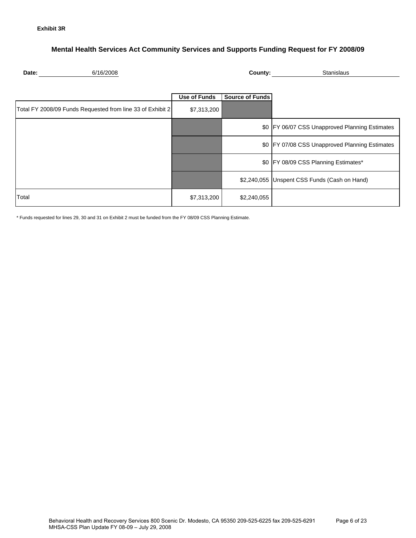### **Mental Health Services Act Community Services and Supports Funding Request for FY 2008/09**

| 6/16/2<br>Date: |
|-----------------|
|-----------------|

**2008** County: **County:** Stanislaus

|                                                            | <b>Use of Funds</b> | <b>Source of Funds</b> |                                                |
|------------------------------------------------------------|---------------------|------------------------|------------------------------------------------|
| Total FY 2008/09 Funds Requested from line 33 of Exhibit 2 | \$7,313,200         |                        |                                                |
|                                                            |                     | \$0                    | FY 06/07 CSS Unapproved Planning Estimates     |
|                                                            |                     |                        | \$0 FY 07/08 CSS Unapproved Planning Estimates |
|                                                            |                     |                        | \$0 FY 08/09 CSS Planning Estimates*           |
|                                                            |                     |                        | \$2,240,055 Unspent CSS Funds (Cash on Hand)   |
| Total                                                      | \$7,313,200         | \$2,240,055            |                                                |

\* Funds requested for lines 29, 30 and 31 on Exhibit 2 must be funded from the FY 08/09 CSS Planning Estimate.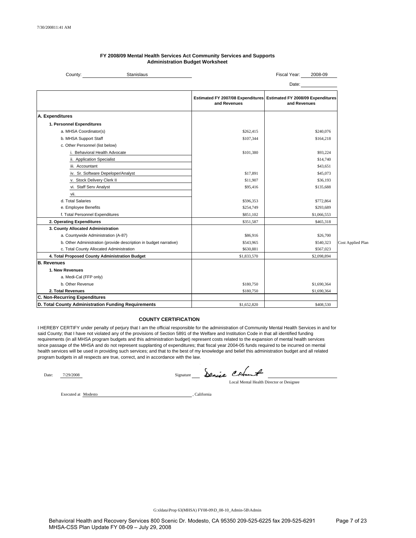| Stanislaus<br>County:                                             |              | Fiscal Year:<br>2008-09                                                             |                   |
|-------------------------------------------------------------------|--------------|-------------------------------------------------------------------------------------|-------------------|
|                                                                   |              | Date:                                                                               |                   |
|                                                                   | and Revenues | Estimated FY 2007/08 Expenditures Estimated FY 2008/09 Expenditures<br>and Revenues |                   |
| A. Expenditures                                                   |              |                                                                                     |                   |
| 1. Personnel Expenditures                                         |              |                                                                                     |                   |
| a. MHSA Coordinator(s)                                            | \$262,415    | \$240,076                                                                           |                   |
| b. MHSA Support Staff                                             | \$107,344    | \$164,218                                                                           |                   |
| c. Other Personnel (list below)                                   |              |                                                                                     |                   |
| i. Behavioral Health Advocate                                     | \$101,380    | \$93.224                                                                            |                   |
| ii. Application Specialist                                        |              | \$14,740                                                                            |                   |
| iii. Accountant                                                   |              | \$43,651                                                                            |                   |
| iv. Sr. Software Depeloper/Analyst                                | \$17,891     | \$45,073                                                                            |                   |
| v. Stock Delivery Clerk II                                        | \$11,907     | \$36,193                                                                            |                   |
| vi. Staff Serv Analyst                                            | \$95,416     | \$135,688                                                                           |                   |
| vii.                                                              |              |                                                                                     |                   |
| d. Total Salaries                                                 | \$596,353    | \$772,864                                                                           |                   |
| e. Employee Benefits                                              | \$254,749    | \$293,689                                                                           |                   |
| f. Total Personnel Expenditures                                   | \$851,102    | \$1,066,553                                                                         |                   |
| 2. Operating Expenditures                                         | \$351,587    | \$465,318                                                                           |                   |
| 3. County Allocated Administration                                |              |                                                                                     |                   |
| a. Countywide Administration (A-87)                               | \$86,916     | \$26,700                                                                            |                   |
| b. Other Administration (provide description in budget narrative) | \$543,965    | \$540,323                                                                           | Cost Applied Plan |
| c. Total County Allocated Administration                          | \$630,881    | \$567,023                                                                           |                   |
| 4. Total Proposed County Administration Budget                    | \$1,833,570  | \$2,098,894                                                                         |                   |
| <b>B. Revenues</b>                                                |              |                                                                                     |                   |
| 1. New Revenues                                                   |              |                                                                                     |                   |
| a. Medi-Cal (FFP only)                                            |              |                                                                                     |                   |
| b. Other Revenue                                                  | \$180,750    | \$1,690,364                                                                         |                   |
| 2. Total Revenues                                                 | \$180,750    | \$1,690,364                                                                         |                   |
| <b>C. Non-Recurring Expenditures</b>                              |              |                                                                                     |                   |
| D. Total County Administration Funding Requirements               | \$1,652,820  | \$408,530                                                                           |                   |

#### **FY 2008/09 Mental Health Services Act Community Services and Supports Administration Budget Worksheet**

#### **COUNTY CERTIFICATION**

I HEREBY CERTIFY under penalty of perjury that I am the official responsible for the administration of Community Mental Health Services in and for said County; that I have not violated any of the provisions of Section 5891 of the Welfare and Institution Code in that all identified funding requirements (in all MHSA program budgets and this administration budget) represent costs related to the expansion of mental health services since passage of the MHSA and do not represent supplanting of expenditures; that fiscal year 2004-05 funds required to be incurred on mental health services will be used in providing such services; and that to the best of my knowledge and belief this administration budget and all related program budgets in all respects are true, correct, and in accordance with the law.

Date: 7/29/2008

Signature Columb

Local Mental Health Director or Designee

Executed at Modesto

California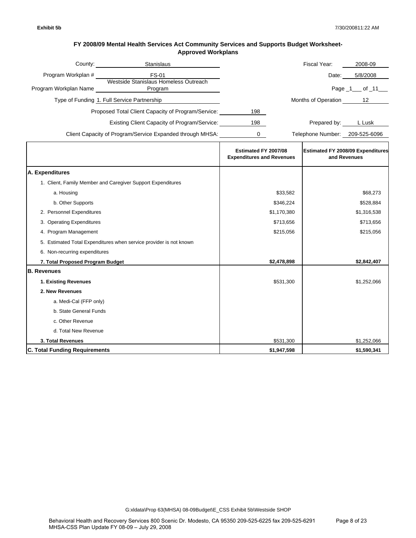| County:               | <b>Stanislaus</b>                                         |     | Fiscal Year:        | 2008-09          |
|-----------------------|-----------------------------------------------------------|-----|---------------------|------------------|
| Program Workplan #    | FS-01                                                     |     | Date:               | 5/8/2008         |
| Program Workplan Name | Westside Stanislaus Homeless Outreach<br>Program          |     |                     | Page $1$ of $11$ |
|                       | Type of Funding 1. Full Service Partnership               |     | Months of Operation | 12               |
|                       | Proposed Total Client Capacity of Program/Service:        | 198 |                     |                  |
|                       | Existing Client Capacity of Program/Service:              | 198 | Prepared by:        | L Lusk           |
|                       | Client Capacity of Program/Service Expanded through MHSA: |     | Telephone Number:   | 209-525-6096     |

|                                                                    | Estimated FY 2007/08<br><b>Expenditures and Revenues</b> | <b>Estimated FY 2008/09 Expenditures</b><br>and Revenues |
|--------------------------------------------------------------------|----------------------------------------------------------|----------------------------------------------------------|
| A. Expenditures                                                    |                                                          |                                                          |
| 1. Client, Family Member and Caregiver Support Expenditures        |                                                          |                                                          |
| a. Housing                                                         | \$33,582                                                 | \$68,273                                                 |
| b. Other Supports                                                  | \$346,224                                                | \$528,884                                                |
| 2. Personnel Expenditures                                          | \$1,170,380                                              | \$1,316,538                                              |
| 3. Operating Expenditures                                          | \$713,656                                                | \$713,656                                                |
| 4. Program Management                                              | \$215,056                                                | \$215,056                                                |
| 5. Estimated Total Expenditures when service provider is not known |                                                          |                                                          |
| 6. Non-recurring expenditures                                      |                                                          |                                                          |
| 7. Total Proposed Program Budget                                   | \$2,478,898                                              | \$2,842,407                                              |
| <b>B.</b> Revenues                                                 |                                                          |                                                          |
| 1. Existing Revenues                                               | \$531,300                                                | \$1,252,066                                              |
| 2. New Revenues                                                    |                                                          |                                                          |
| a. Medi-Cal (FFP only)                                             |                                                          |                                                          |
| b. State General Funds                                             |                                                          |                                                          |
| c. Other Revenue                                                   |                                                          |                                                          |
| d. Total New Revenue                                               |                                                          |                                                          |
| 3. Total Revenues                                                  | \$531,300                                                | \$1,252,066                                              |
| <b>C. Total Funding Requirements</b>                               | \$1,947,598                                              | \$1,590,341                                              |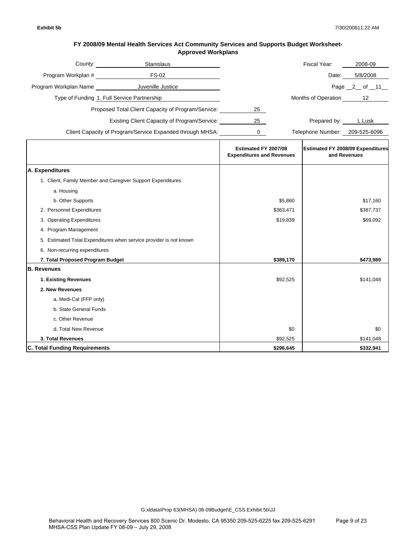| County:               | <b>Stanislaus</b>                                         |    | Fiscal Year:        | 2008-09        |
|-----------------------|-----------------------------------------------------------|----|---------------------|----------------|
| Program Workplan #    | <b>FS-02</b>                                              |    | Date:               | 5/8/2008       |
| Program Workplan Name | Juvenille Justice                                         |    |                     | Page $2$ of 11 |
|                       | Type of Funding 1. Full Service Partnership               |    | Months of Operation | 12             |
|                       | Proposed Total Client Capacity of Program/Service:        | 25 |                     |                |
|                       | Existing Client Capacity of Program/Service:              | 25 | Prepared by:        | L Lusk         |
|                       | Client Capacity of Program/Service Expanded through MHSA: |    | Telephone Number:   | 209-525-6096   |

|                                                                    | Estimated FY 2007/08<br><b>Expenditures and Revenues</b> | <b>Estimated FY 2008/09 Expenditures</b><br>and Revenues |
|--------------------------------------------------------------------|----------------------------------------------------------|----------------------------------------------------------|
| A. Expenditures                                                    |                                                          |                                                          |
| 1. Client, Family Member and Caregiver Support Expenditures        |                                                          |                                                          |
| a. Housing                                                         |                                                          |                                                          |
| b. Other Supports                                                  | \$5,860                                                  | \$17,160                                                 |
| 2. Personnel Expenditures                                          | \$363,471                                                | \$387,737                                                |
| 3. Operating Expenditures                                          | \$19,839                                                 | \$69,092                                                 |
| 4. Program Management                                              |                                                          |                                                          |
| 5. Estimated Total Expenditures when service provider is not known |                                                          |                                                          |
| 6. Non-recurring expenditures                                      |                                                          |                                                          |
| 7. Total Proposed Program Budget                                   | \$389,170                                                | \$473,989                                                |
| <b>B.</b> Revenues                                                 |                                                          |                                                          |
| 1. Existing Revenues                                               | \$92,525                                                 | \$141,048                                                |
| 2. New Revenues                                                    |                                                          |                                                          |
| a. Medi-Cal (FFP only)                                             |                                                          |                                                          |
| b. State General Funds                                             |                                                          |                                                          |
| c. Other Revenue                                                   |                                                          |                                                          |
| d. Total New Revenue                                               | \$0                                                      | \$0                                                      |
| 3. Total Revenues                                                  | \$92,525                                                 | \$141,048                                                |
| <b>C. Total Funding Requirements</b>                               | \$296,645                                                | \$332,941                                                |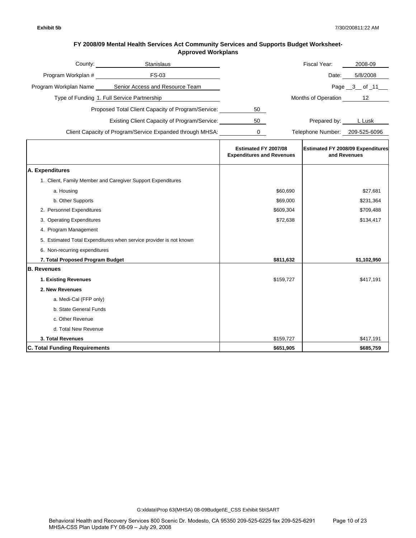| County:               | <b>Stanislaus</b>                                         |    | Fiscal Year:        | 2008-09      |
|-----------------------|-----------------------------------------------------------|----|---------------------|--------------|
| Program Workplan #    | FS-03                                                     |    | Date:               | 5/8/2008     |
| Program Workplan Name | Senior Access and Resource Team                           |    |                     | Page 3 of 11 |
|                       | Type of Funding 1. Full Service Partnership               |    | Months of Operation | 12           |
|                       | Proposed Total Client Capacity of Program/Service:        | 50 |                     |              |
|                       | Existing Client Capacity of Program/Service:              | 50 | Prepared by:        | L Lusk       |
|                       | Client Capacity of Program/Service Expanded through MHSA: |    | Telephone Number:   | 209-525-6096 |

|                                                                    | Estimated FY 2007/08<br><b>Expenditures and Revenues</b> | <b>Estimated FY 2008/09 Expenditures</b><br>and Revenues |
|--------------------------------------------------------------------|----------------------------------------------------------|----------------------------------------------------------|
| A. Expenditures                                                    |                                                          |                                                          |
| 1. Client, Family Member and Caregiver Support Expenditures        |                                                          |                                                          |
| a. Housing                                                         | \$60,690                                                 | \$27,681                                                 |
| b. Other Supports                                                  | \$69,000                                                 | \$231,364                                                |
| 2. Personnel Expenditures                                          | \$609,304                                                | \$709,488                                                |
| 3. Operating Expenditures                                          | \$72,638                                                 | \$134,417                                                |
| 4. Program Management                                              |                                                          |                                                          |
| 5. Estimated Total Expenditures when service provider is not known |                                                          |                                                          |
| 6. Non-recurring expenditures                                      |                                                          |                                                          |
| 7. Total Proposed Program Budget                                   | \$811,632                                                | \$1,102,950                                              |
| <b>B. Revenues</b>                                                 |                                                          |                                                          |
| 1. Existing Revenues                                               | \$159,727                                                | \$417,191                                                |
| 2. New Revenues                                                    |                                                          |                                                          |
| a. Medi-Cal (FFP only)                                             |                                                          |                                                          |
| b. State General Funds                                             |                                                          |                                                          |
| c. Other Revenue                                                   |                                                          |                                                          |
| d. Total New Revenue                                               |                                                          |                                                          |
| 3. Total Revenues                                                  | \$159,727                                                | \$417,191                                                |
| <b>C. Total Funding Requirements</b>                               | \$651,905                                                | \$685,759                                                |

G:xldata\Prop 63(MHSA) 08-09Budget\E\_CSS Exhibit 5b\SART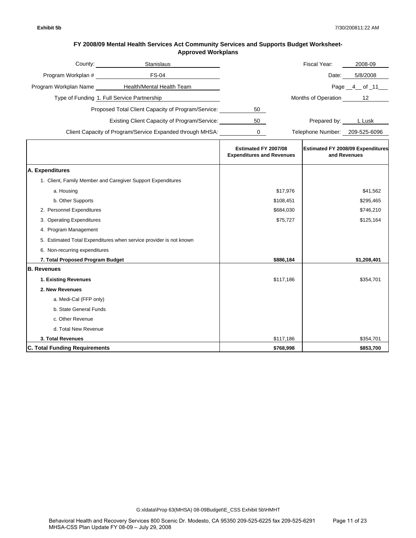| County:               | <b>Stanislaus</b>                                         |    | Fiscal Year:        | 2008-09      |
|-----------------------|-----------------------------------------------------------|----|---------------------|--------------|
| Program Workplan #    | FS-04                                                     |    | Date:               | 5/8/2008     |
| Program Workplan Name | Health/Mental Health Team                                 |    |                     | Page 4 of 11 |
|                       | Type of Funding 1. Full Service Partnership               |    | Months of Operation | 12           |
|                       | Proposed Total Client Capacity of Program/Service:        | 50 |                     |              |
|                       | Existing Client Capacity of Program/Service:              | 50 | Prepared by:        | L Lusk       |
|                       | Client Capacity of Program/Service Expanded through MHSA: |    | Telephone Number:   | 209-525-6096 |

|                                                                    | Estimated FY 2007/08<br><b>Expenditures and Revenues</b> | <b>Estimated FY 2008/09 Expenditures</b><br>and Revenues |
|--------------------------------------------------------------------|----------------------------------------------------------|----------------------------------------------------------|
| A. Expenditures                                                    |                                                          |                                                          |
| 1. Client, Family Member and Caregiver Support Expenditures        |                                                          |                                                          |
| a. Housing                                                         | \$17,976                                                 | \$41,562                                                 |
| b. Other Supports                                                  | \$108,451                                                | \$295,465                                                |
| 2. Personnel Expenditures                                          | \$684,030                                                | \$746,210                                                |
| 3. Operating Expenditures                                          | \$75,727                                                 | \$125,164                                                |
| 4. Program Management                                              |                                                          |                                                          |
| 5. Estimated Total Expenditures when service provider is not known |                                                          |                                                          |
| 6. Non-recurring expenditures                                      |                                                          |                                                          |
| 7. Total Proposed Program Budget                                   | \$886,184                                                | \$1,208,401                                              |
| <b>B. Revenues</b>                                                 |                                                          |                                                          |
| 1. Existing Revenues                                               | \$117,186                                                | \$354,701                                                |
| 2. New Revenues                                                    |                                                          |                                                          |
| a. Medi-Cal (FFP only)                                             |                                                          |                                                          |
| b. State General Funds                                             |                                                          |                                                          |
| c. Other Revenue                                                   |                                                          |                                                          |
| d. Total New Revenue                                               |                                                          |                                                          |
| 3. Total Revenues                                                  | \$117,186                                                | \$354,701                                                |
| <b>C. Total Funding Requirements</b>                               | \$768,998                                                | \$853,700                                                |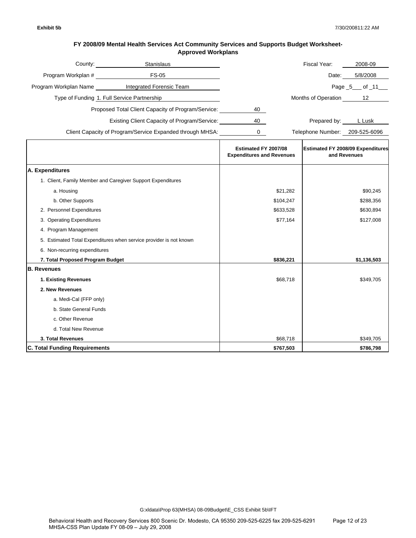| County:               | <b>Stanislaus</b>                                         |    | Fiscal Year:        | 2008-09          |
|-----------------------|-----------------------------------------------------------|----|---------------------|------------------|
| Program Workplan #    | FS-05                                                     |    | Date:               | 5/8/2008         |
| Program Workplan Name | Integrated Forensic Team                                  |    |                     | Page $5$ of $11$ |
|                       | Type of Funding 1. Full Service Partnership               |    | Months of Operation | 12               |
|                       | Proposed Total Client Capacity of Program/Service:        | 40 |                     |                  |
|                       | Existing Client Capacity of Program/Service:              | 40 | Prepared by:        | L Lusk           |
|                       | Client Capacity of Program/Service Expanded through MHSA: |    | Telephone Number:   | 209-525-6096     |

|                                                                    | Estimated FY 2007/08<br><b>Expenditures and Revenues</b> | <b>Estimated FY 2008/09 Expenditures</b><br>and Revenues |
|--------------------------------------------------------------------|----------------------------------------------------------|----------------------------------------------------------|
| A. Expenditures                                                    |                                                          |                                                          |
| 1. Client, Family Member and Caregiver Support Expenditures        |                                                          |                                                          |
| a. Housing                                                         | \$21,282                                                 | \$90,245                                                 |
| b. Other Supports                                                  | \$104,247                                                | \$288,356                                                |
| 2. Personnel Expenditures                                          | \$633,528                                                | \$630,894                                                |
| 3. Operating Expenditures                                          | \$77,164                                                 | \$127,008                                                |
| 4. Program Management                                              |                                                          |                                                          |
| 5. Estimated Total Expenditures when service provider is not known |                                                          |                                                          |
| 6. Non-recurring expenditures                                      |                                                          |                                                          |
| 7. Total Proposed Program Budget                                   | \$836,221                                                | \$1,136,503                                              |
| <b>B. Revenues</b>                                                 |                                                          |                                                          |
| 1. Existing Revenues                                               | \$68,718                                                 | \$349,705                                                |
| 2. New Revenues                                                    |                                                          |                                                          |
| a. Medi-Cal (FFP only)                                             |                                                          |                                                          |
| b. State General Funds                                             |                                                          |                                                          |
| c. Other Revenue                                                   |                                                          |                                                          |
| d. Total New Revenue                                               |                                                          |                                                          |
| 3. Total Revenues                                                  | \$68,718                                                 | \$349,705                                                |
| <b>C. Total Funding Requirements</b>                               | \$767,503                                                | \$786,798                                                |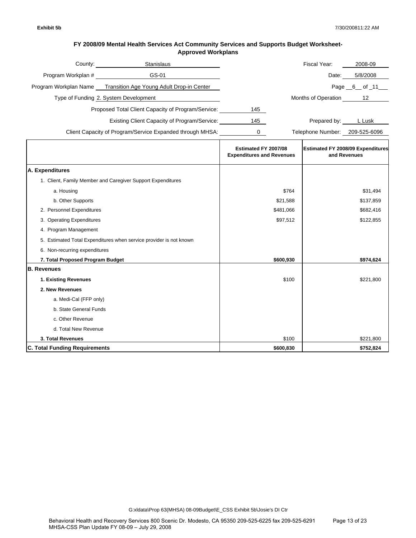| County:               | <b>Stanislaus</b>                                         |     | Fiscal Year:        | 2008-09      |
|-----------------------|-----------------------------------------------------------|-----|---------------------|--------------|
| Program Workplan #    | GS-01                                                     |     | Date:               | 5/8/2008     |
| Program Workplan Name | Transition Age Young Adult Drop-in Center                 |     |                     | Page 6 of 11 |
|                       | Type of Funding 2. System Development                     |     | Months of Operation | 12           |
|                       | Proposed Total Client Capacity of Program/Service:        | 145 |                     |              |
|                       | <b>Existing Client Capacity of Program/Service:</b>       | 145 | Prepared by:        | L Lusk       |
|                       | Client Capacity of Program/Service Expanded through MHSA: |     | Telephone Number:   | 209-525-6096 |

|                                                                    | Estimated FY 2007/08<br><b>Expenditures and Revenues</b> | <b>Estimated FY 2008/09 Expenditures</b><br>and Revenues |
|--------------------------------------------------------------------|----------------------------------------------------------|----------------------------------------------------------|
| A. Expenditures                                                    |                                                          |                                                          |
| 1. Client, Family Member and Caregiver Support Expenditures        |                                                          |                                                          |
| a. Housing                                                         | \$764                                                    | \$31,494                                                 |
| b. Other Supports                                                  | \$21,588                                                 | \$137,859                                                |
| 2. Personnel Expenditures                                          | \$481,066                                                | \$682,416                                                |
| 3. Operating Expenditures                                          | \$97,512                                                 | \$122,855                                                |
| 4. Program Management                                              |                                                          |                                                          |
| 5. Estimated Total Expenditures when service provider is not known |                                                          |                                                          |
| 6. Non-recurring expenditures                                      |                                                          |                                                          |
| 7. Total Proposed Program Budget                                   | \$600,930                                                | \$974,624                                                |
| <b>B.</b> Revenues                                                 |                                                          |                                                          |
| 1. Existing Revenues                                               | \$100                                                    | \$221,800                                                |
| 2. New Revenues                                                    |                                                          |                                                          |
| a. Medi-Cal (FFP only)                                             |                                                          |                                                          |
| b. State General Funds                                             |                                                          |                                                          |
| c. Other Revenue                                                   |                                                          |                                                          |
| d. Total New Revenue                                               |                                                          |                                                          |
| 3. Total Revenues                                                  | \$100                                                    | \$221,800                                                |
| <b>C. Total Funding Requirements</b>                               | \$600,830                                                | \$752,824                                                |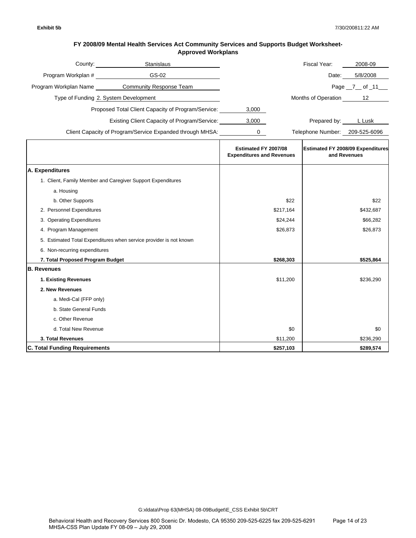| County:               | <b>Stanislaus</b>                                         |       | Fiscal Year:        | 2008-09      |
|-----------------------|-----------------------------------------------------------|-------|---------------------|--------------|
| Program Workplan #    | GS-02                                                     |       | Date:               | 5/8/2008     |
| Program Workplan Name | <b>Community Response Team</b>                            |       |                     | Page 7 of 11 |
|                       | Type of Funding 2. System Development                     |       | Months of Operation | 12           |
|                       | Proposed Total Client Capacity of Program/Service:        | 3,000 |                     |              |
|                       | Existing Client Capacity of Program/Service:              | 3,000 | Prepared by:        | L Lusk       |
|                       | Client Capacity of Program/Service Expanded through MHSA: |       | Telephone Number:   | 209-525-6096 |

|                                                                    | Estimated FY 2007/08<br><b>Expenditures and Revenues</b> | <b>Estimated FY 2008/09 Expenditures</b><br>and Revenues |
|--------------------------------------------------------------------|----------------------------------------------------------|----------------------------------------------------------|
| A. Expenditures                                                    |                                                          |                                                          |
| 1. Client, Family Member and Caregiver Support Expenditures        |                                                          |                                                          |
| a. Housing                                                         |                                                          |                                                          |
| b. Other Supports                                                  | \$22                                                     | \$22                                                     |
| 2. Personnel Expenditures                                          | \$217,164                                                | \$432,687                                                |
| 3. Operating Expenditures                                          | \$24,244                                                 | \$66,282                                                 |
| 4. Program Management                                              | \$26,873                                                 | \$26,873                                                 |
| 5. Estimated Total Expenditures when service provider is not known |                                                          |                                                          |
| 6. Non-recurring expenditures                                      |                                                          |                                                          |
| 7. Total Proposed Program Budget                                   | \$268,303                                                | \$525,864                                                |
| <b>B.</b> Revenues                                                 |                                                          |                                                          |
| 1. Existing Revenues                                               | \$11,200                                                 | \$236,290                                                |
| 2. New Revenues                                                    |                                                          |                                                          |
| a. Medi-Cal (FFP only)                                             |                                                          |                                                          |
| b. State General Funds                                             |                                                          |                                                          |
| c. Other Revenue                                                   |                                                          |                                                          |
| d. Total New Revenue                                               | \$0                                                      | \$0                                                      |
| 3. Total Revenues                                                  | \$11,200                                                 | \$236,290                                                |
| <b>C. Total Funding Requirements</b>                               | \$257,103                                                | \$289,574                                                |

G:xldata\Prop 63(MHSA) 08-09Budget\E\_CSS Exhibit 5b\CRT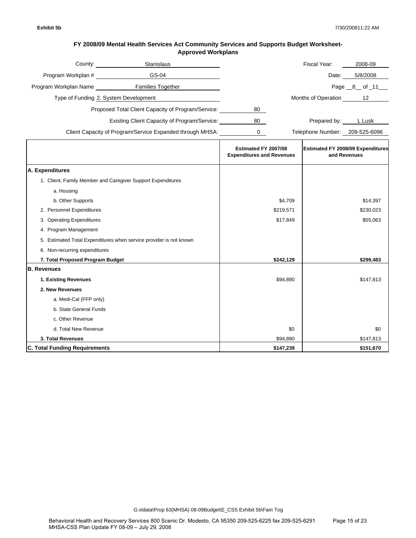| County:               | <b>Stanislaus</b>                                         |    | Fiscal Year:        | 2008-09      |
|-----------------------|-----------------------------------------------------------|----|---------------------|--------------|
| Program Workplan #    | GS-04                                                     |    | Date:               | 5/8/2008     |
| Program Workplan Name | <b>Families Together</b>                                  |    |                     | Page 8 of 11 |
|                       | Type of Funding 2. System Development                     |    | Months of Operation | 12           |
|                       | Proposed Total Client Capacity of Program/Service:        | 80 |                     |              |
|                       | Existing Client Capacity of Program/Service:              | 80 | Prepared by:        | L Lusk       |
|                       | Client Capacity of Program/Service Expanded through MHSA: |    | Telephone Number:   | 209-525-6096 |

|                                                                    | Estimated FY 2007/08<br><b>Expenditures and Revenues</b> | <b>Estimated FY 2008/09 Expenditures</b><br>and Revenues |
|--------------------------------------------------------------------|----------------------------------------------------------|----------------------------------------------------------|
| A. Expenditures                                                    |                                                          |                                                          |
| 1. Client, Family Member and Caregiver Support Expenditures        |                                                          |                                                          |
| a. Housing                                                         |                                                          |                                                          |
| b. Other Supports                                                  | \$4,709                                                  | \$14,397                                                 |
| 2. Personnel Expenditures                                          | \$219,571                                                | \$230,023                                                |
| 3. Operating Expenditures                                          | \$17,849                                                 | \$55,063                                                 |
| 4. Program Management                                              |                                                          |                                                          |
| 5. Estimated Total Expenditures when service provider is not known |                                                          |                                                          |
| 6. Non-recurring expenditures                                      |                                                          |                                                          |
| 7. Total Proposed Program Budget                                   | \$242,129                                                | \$299,483                                                |
| <b>B.</b> Revenues                                                 |                                                          |                                                          |
| 1. Existing Revenues                                               | \$94,890                                                 | \$147,813                                                |
| 2. New Revenues                                                    |                                                          |                                                          |
| a. Medi-Cal (FFP only)                                             |                                                          |                                                          |
| b. State General Funds                                             |                                                          |                                                          |
| c. Other Revenue                                                   |                                                          |                                                          |
| d. Total New Revenue                                               | \$0                                                      | \$0                                                      |
| 3. Total Revenues                                                  | \$94,890                                                 | \$147,813                                                |
| <b>C. Total Funding Requirements</b>                               | \$147,239                                                | \$151,670                                                |

G:xldata\Prop 63(MHSA) 08-09Budget\E\_CSS Exhibit 5b\Fam Tog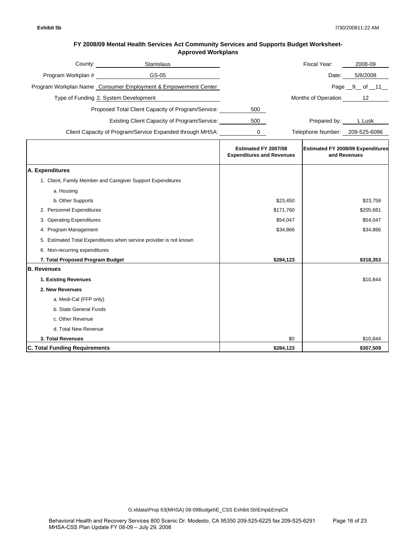| County:            | <b>Stanislaus</b>                                              |     | Fiscal Year:        | 2008-09        |
|--------------------|----------------------------------------------------------------|-----|---------------------|----------------|
| Program Workplan # | GS-05                                                          |     | Date:               | 5/8/2008       |
|                    | Program Workplan Name Consumer Employment & Empowerment Center |     |                     | Page $9$ of 11 |
|                    | Type of Funding 2. System Development                          |     | Months of Operation | 12             |
|                    | Proposed Total Client Capacity of Program/Service:             | 500 |                     |                |
|                    | <b>Existing Client Capacity of Program/Service:</b>            | 500 | Prepared by:        | L Lusk         |
|                    | Client Capacity of Program/Service Expanded through MHSA:      |     | Telephone Number:   | 209-525-6096   |

|                                                                    | Estimated FY 2007/08<br><b>Expenditures and Revenues</b> | <b>Estimated FY 2008/09 Expenditures</b><br>and Revenues |
|--------------------------------------------------------------------|----------------------------------------------------------|----------------------------------------------------------|
| A. Expenditures                                                    |                                                          |                                                          |
| 1. Client, Family Member and Caregiver Support Expenditures        |                                                          |                                                          |
| a. Housing                                                         |                                                          |                                                          |
| b. Other Supports                                                  | \$23,450                                                 | \$23,759                                                 |
| 2. Personnel Expenditures                                          | \$171,760                                                | \$205,681                                                |
| 3. Operating Expenditures                                          | \$54,047                                                 | \$54,047                                                 |
| 4. Program Management                                              | \$34,866                                                 | \$34,866                                                 |
| 5. Estimated Total Expenditures when service provider is not known |                                                          |                                                          |
| 6. Non-recurring expenditures                                      |                                                          |                                                          |
| 7. Total Proposed Program Budget                                   | \$284,123                                                | \$318,353                                                |
| <b>B.</b> Revenues                                                 |                                                          |                                                          |
| 1. Existing Revenues                                               |                                                          | \$10,844                                                 |
| 2. New Revenues                                                    |                                                          |                                                          |
| a. Medi-Cal (FFP only)                                             |                                                          |                                                          |
| b. State General Funds                                             |                                                          |                                                          |
| c. Other Revenue                                                   |                                                          |                                                          |
| d. Total New Revenue                                               |                                                          |                                                          |
| 3. Total Revenues                                                  | \$0                                                      | \$10,844                                                 |
| <b>C. Total Funding Requirements</b>                               | \$284,123                                                | \$307,509                                                |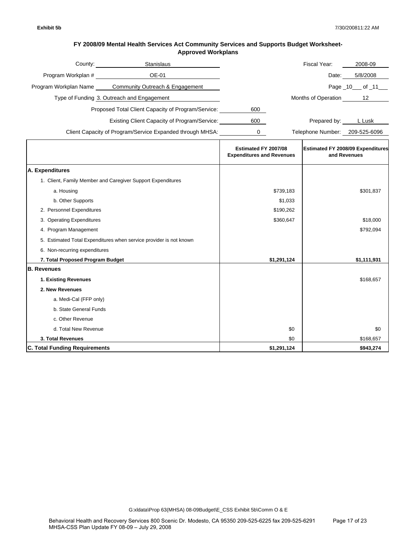| County:               | Stanislaus                                                |     | Fiscal Year:        | 2008-09           |
|-----------------------|-----------------------------------------------------------|-----|---------------------|-------------------|
| Program Workplan #    | OE-01                                                     |     | Date:               | 5/8/2008          |
| Program Workplan Name | Community Outreach & Engagement                           |     |                     | Page $10$ of $11$ |
|                       | Type of Funding 3. Outreach and Engagement                |     | Months of Operation | 12                |
|                       | Proposed Total Client Capacity of Program/Service:        | 600 |                     |                   |
|                       | Existing Client Capacity of Program/Service:              | 600 | Prepared by:        | L Lusk            |
|                       | Client Capacity of Program/Service Expanded through MHSA: |     | Telephone Number:   | 209-525-6096      |

|                                                                    | Estimated FY 2007/08<br><b>Expenditures and Revenues</b> | <b>Estimated FY 2008/09 Expenditures</b><br>and Revenues |
|--------------------------------------------------------------------|----------------------------------------------------------|----------------------------------------------------------|
| A. Expenditures                                                    |                                                          |                                                          |
| 1. Client, Family Member and Caregiver Support Expenditures        |                                                          |                                                          |
| a. Housing                                                         | \$739,183                                                | \$301,837                                                |
| b. Other Supports                                                  | \$1,033                                                  |                                                          |
| 2. Personnel Expenditures                                          | \$190,262                                                |                                                          |
| 3. Operating Expenditures                                          | \$360,647                                                | \$18,000                                                 |
| 4. Program Management                                              |                                                          | \$792,094                                                |
| 5. Estimated Total Expenditures when service provider is not known |                                                          |                                                          |
| 6. Non-recurring expenditures                                      |                                                          |                                                          |
| 7. Total Proposed Program Budget                                   | \$1,291,124                                              | \$1,111,931                                              |
| <b>B.</b> Revenues                                                 |                                                          |                                                          |
| 1. Existing Revenues                                               |                                                          | \$168,657                                                |
| 2. New Revenues                                                    |                                                          |                                                          |
| a. Medi-Cal (FFP only)                                             |                                                          |                                                          |
| b. State General Funds                                             |                                                          |                                                          |
| c. Other Revenue                                                   |                                                          |                                                          |
| d. Total New Revenue                                               | \$0                                                      | \$0                                                      |
| 3. Total Revenues                                                  | \$0                                                      | \$168,657                                                |
| <b>C. Total Funding Requirements</b>                               | \$1,291,124                                              | \$943,274                                                |

G:xldata\Prop 63(MHSA) 08-09Budget\E\_CSS Exhibit 5b\Comm O & E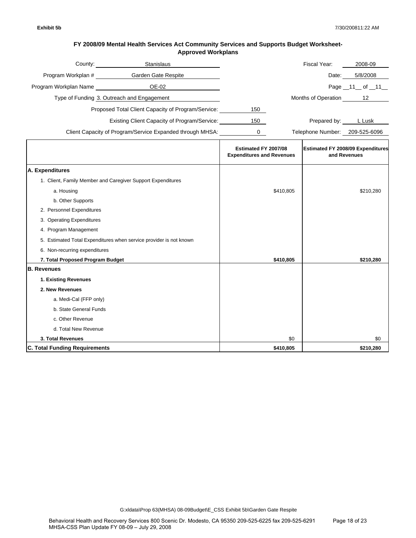| County:               | Stanislaus                                                |     | Fiscal Year:        | 2008-09           |
|-----------------------|-----------------------------------------------------------|-----|---------------------|-------------------|
| Program Workplan #    | Garden Gate Respite                                       |     | Date:               | 5/8/2008          |
| Program Workplan Name | OE-02                                                     |     |                     | Page $11$ of $11$ |
|                       | Type of Funding 3. Outreach and Engagement                |     | Months of Operation | 12                |
|                       | Proposed Total Client Capacity of Program/Service:        | 150 |                     |                   |
|                       | Existing Client Capacity of Program/Service:              | 150 | Prepared by:        | L Lusk            |
|                       | Client Capacity of Program/Service Expanded through MHSA: |     | Telephone Number:   | 209-525-6096      |

|                                                                    | Estimated FY 2007/08<br><b>Expenditures and Revenues</b> | <b>Estimated FY 2008/09 Expenditures</b><br>and Revenues |
|--------------------------------------------------------------------|----------------------------------------------------------|----------------------------------------------------------|
| A. Expenditures                                                    |                                                          |                                                          |
| 1. Client, Family Member and Caregiver Support Expenditures        |                                                          |                                                          |
| a. Housing                                                         | \$410,805                                                | \$210,280                                                |
| b. Other Supports                                                  |                                                          |                                                          |
| 2. Personnel Expenditures                                          |                                                          |                                                          |
| 3. Operating Expenditures                                          |                                                          |                                                          |
| 4. Program Management                                              |                                                          |                                                          |
| 5. Estimated Total Expenditures when service provider is not known |                                                          |                                                          |
| 6. Non-recurring expenditures                                      |                                                          |                                                          |
| 7. Total Proposed Program Budget                                   | \$410,805                                                | \$210,280                                                |
| <b>B.</b> Revenues                                                 |                                                          |                                                          |
| 1. Existing Revenues                                               |                                                          |                                                          |
| 2. New Revenues                                                    |                                                          |                                                          |
| a. Medi-Cal (FFP only)                                             |                                                          |                                                          |
| b. State General Funds                                             |                                                          |                                                          |
| c. Other Revenue                                                   |                                                          |                                                          |
| d. Total New Revenue                                               |                                                          |                                                          |
| 3. Total Revenues                                                  | \$0                                                      | \$0                                                      |
| <b>C. Total Funding Requirements</b>                               | \$410,805                                                | \$210,280                                                |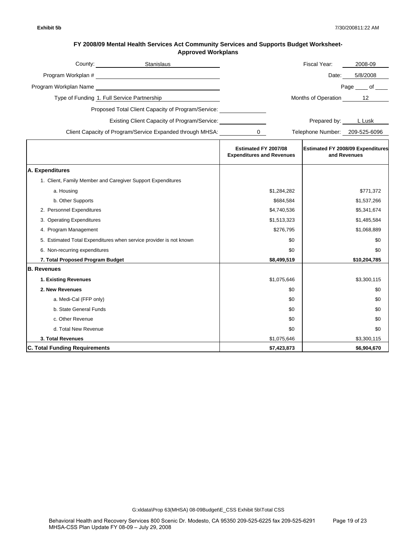| FY 2008/09 Mental Health Services Act Community Services and Supports Budget Worksheet- |
|-----------------------------------------------------------------------------------------|
| <b>Approved Workplans</b>                                                               |

|                                                                    | County: Stanislaus                                        |                                                          |             | Fiscal Year:                   | 2008-09                                                  |
|--------------------------------------------------------------------|-----------------------------------------------------------|----------------------------------------------------------|-------------|--------------------------------|----------------------------------------------------------|
|                                                                    |                                                           |                                                          |             | Date:                          | 5/8/2008                                                 |
|                                                                    |                                                           |                                                          |             |                                | Page _____ of ____                                       |
| Type of Funding 1. Full Service Partnership                        |                                                           |                                                          |             | Months of Operation 12         |                                                          |
|                                                                    | Proposed Total Client Capacity of Program/Service:        |                                                          |             |                                |                                                          |
|                                                                    | <b>Existing Client Capacity of Program/Service:</b>       |                                                          |             | Prepared by: LLusk             |                                                          |
|                                                                    |                                                           |                                                          |             |                                |                                                          |
|                                                                    | Client Capacity of Program/Service Expanded through MHSA: | $\mathbf{0}$                                             |             | Telephone Number: 209-525-6096 |                                                          |
|                                                                    |                                                           | Estimated FY 2007/08<br><b>Expenditures and Revenues</b> |             |                                | <b>Estimated FY 2008/09 Expenditures</b><br>and Revenues |
| A. Expenditures                                                    |                                                           |                                                          |             |                                |                                                          |
| 1. Client, Family Member and Caregiver Support Expenditures        |                                                           |                                                          |             |                                |                                                          |
| a. Housing                                                         |                                                           |                                                          | \$1,284,282 |                                | \$771,372                                                |
| b. Other Supports                                                  |                                                           |                                                          | \$684,584   |                                | \$1,537,266                                              |
| 2. Personnel Expenditures                                          |                                                           |                                                          | \$4,740,536 |                                | \$5,341,674                                              |
| 3. Operating Expenditures                                          |                                                           |                                                          | \$1,513,323 |                                | \$1,485,584                                              |
| 4. Program Management                                              |                                                           |                                                          | \$276,795   |                                | \$1,068,889                                              |
| 5. Estimated Total Expenditures when service provider is not known |                                                           |                                                          | \$0         |                                | \$0                                                      |
| 6. Non-recurring expenditures                                      |                                                           |                                                          | \$0         |                                | \$0                                                      |
| 7. Total Proposed Program Budget                                   |                                                           |                                                          | \$8,499,519 |                                | \$10,204,785                                             |
| <b>B. Revenues</b>                                                 |                                                           |                                                          |             |                                |                                                          |
| 1. Existing Revenues                                               |                                                           |                                                          | \$1,075,646 |                                | \$3,300,115                                              |
| 2. New Revenues                                                    |                                                           |                                                          | \$0         |                                | \$0                                                      |
| a. Medi-Cal (FFP only)                                             |                                                           |                                                          | \$0         |                                | \$0                                                      |
| b. State General Funds                                             |                                                           |                                                          | \$0         |                                | \$0                                                      |
| c. Other Revenue                                                   |                                                           |                                                          | \$0         |                                | \$0                                                      |
| d. Total New Revenue                                               |                                                           |                                                          | \$0         |                                | \$0                                                      |
| 3. Total Revenues                                                  |                                                           |                                                          | \$1,075,646 |                                | \$3,300,115                                              |
| <b>C. Total Funding Requirements</b>                               |                                                           |                                                          | \$7,423,873 |                                | \$6,904,670                                              |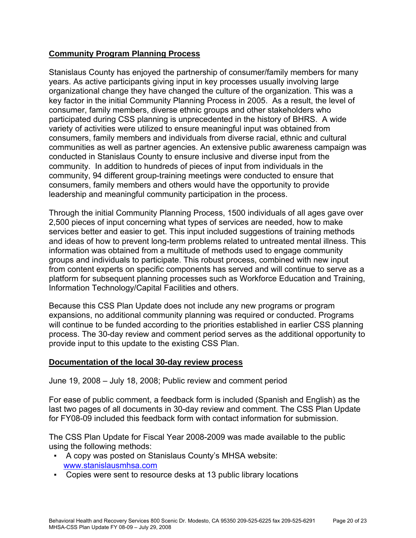# **Community Program Planning Process**

Stanislaus County has enjoyed the partnership of consumer/family members for many years. As active participants giving input in key processes usually involving large organizational change they have changed the culture of the organization. This was a key factor in the initial Community Planning Process in 2005. As a result, the level of consumer, family members, diverse ethnic groups and other stakeholders who participated during CSS planning is unprecedented in the history of BHRS. A wide variety of activities were utilized to ensure meaningful input was obtained from consumers, family members and individuals from diverse racial, ethnic and cultural communities as well as partner agencies. An extensive public awareness campaign was conducted in Stanislaus County to ensure inclusive and diverse input from the community. In addition to hundreds of pieces of input from individuals in the community, 94 different group-training meetings were conducted to ensure that consumers, family members and others would have the opportunity to provide leadership and meaningful community participation in the process.

Through the initial Community Planning Process, 1500 individuals of all ages gave over 2,500 pieces of input concerning what types of services are needed, how to make services better and easier to get. This input included suggestions of training methods and ideas of how to prevent long-term problems related to untreated mental illness. This information was obtained from a multitude of methods used to engage community groups and individuals to participate. This robust process, combined with new input from content experts on specific components has served and will continue to serve as a platform for subsequent planning processes such as Workforce Education and Training, Information Technology/Capital Facilities and others.

Because this CSS Plan Update does not include any new programs or program expansions, no additional community planning was required or conducted. Programs will continue to be funded according to the priorities established in earlier CSS planning process. The 30-day review and comment period serves as the additional opportunity to provide input to this update to the existing CSS Plan.

# **Documentation of the local 30-day review process**

June 19, 2008 – July 18, 2008; Public review and comment period

For ease of public comment, a feedback form is included (Spanish and English) as the last two pages of all documents in 30-day review and comment. The CSS Plan Update for FY08-09 included this feedback form with contact information for submission.

The CSS Plan Update for Fiscal Year 2008-2009 was made available to the public using the following methods:

- A copy was posted on Stanislaus County's MHSA website: [www.stanislausmhsa.com](http://www.stanislausmhsa.com/)
- Copies were sent to resource desks at 13 public library locations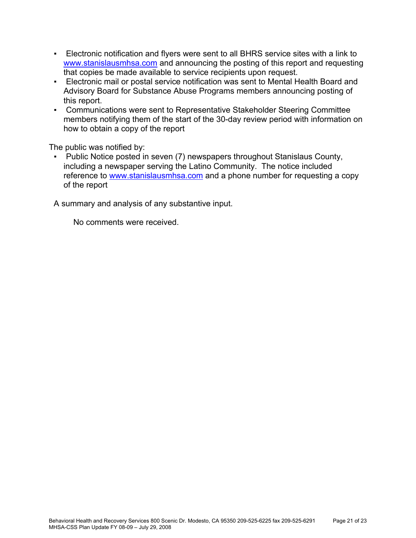- Electronic notification and flyers were sent to all BHRS service sites with a link to [www.stanislausmhsa.com](http://www.stanislausmhsa.com/) and announcing the posting of this report and requesting that copies be made available to service recipients upon request.
- Electronic mail or postal service notification was sent to Mental Health Board and Advisory Board for Substance Abuse Programs members announcing posting of this report.
- Communications were sent to Representative Stakeholder Steering Committee members notifying them of the start of the 30-day review period with information on how to obtain a copy of the report

The public was notified by:

Public Notice posted in seven (7) newspapers throughout Stanislaus County, including a newspaper serving the Latino Community. The notice included reference to [www.stanislausmhsa.com](http://www.stanislausmhsa.com/) and a phone number for requesting a copy of the report

A summary and analysis of any substantive input.

No comments were received.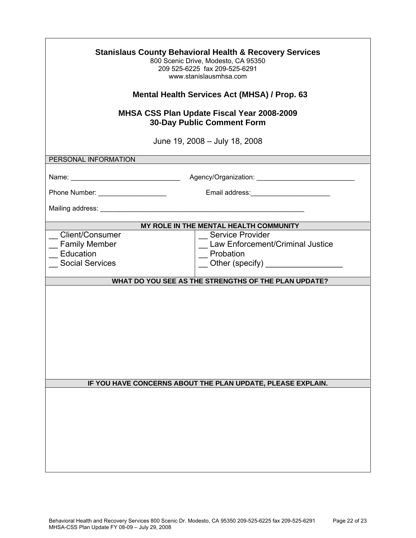| <b>Stanislaus County Behavioral Health &amp; Recovery Services</b><br>800 Scenic Drive, Modesto, CA 95350<br>209 525-6225 fax 209-525-6291<br>www.stanislausmhsa.com |                                                                            |  |
|----------------------------------------------------------------------------------------------------------------------------------------------------------------------|----------------------------------------------------------------------------|--|
|                                                                                                                                                                      | <b>Mental Health Services Act (MHSA) / Prop. 63</b>                        |  |
| <b>MHSA CSS Plan Update Fiscal Year 2008-2009</b><br><b>30-Day Public Comment Form</b>                                                                               |                                                                            |  |
|                                                                                                                                                                      | June 19, 2008 - July 18, 2008                                              |  |
| PERSONAL INFORMATION                                                                                                                                                 |                                                                            |  |
|                                                                                                                                                                      |                                                                            |  |
|                                                                                                                                                                      |                                                                            |  |
|                                                                                                                                                                      |                                                                            |  |
|                                                                                                                                                                      | MY ROLE IN THE MENTAL HEALTH COMMUNITY                                     |  |
| Client/Consumer<br><b>Family Member</b><br>Education<br><b>Social Services</b>                                                                                       | _ Service Provider<br><b>Law Enforcement/Criminal Justice</b><br>Probation |  |
|                                                                                                                                                                      | WHAT DO YOU SEE AS THE STRENGTHS OF THE PLAN UPDATE?                       |  |
|                                                                                                                                                                      |                                                                            |  |
|                                                                                                                                                                      | IF YOU HAVE CONCERNS ABOUT THE PLAN UPDATE, PLEASE EXPLAIN.                |  |
|                                                                                                                                                                      |                                                                            |  |